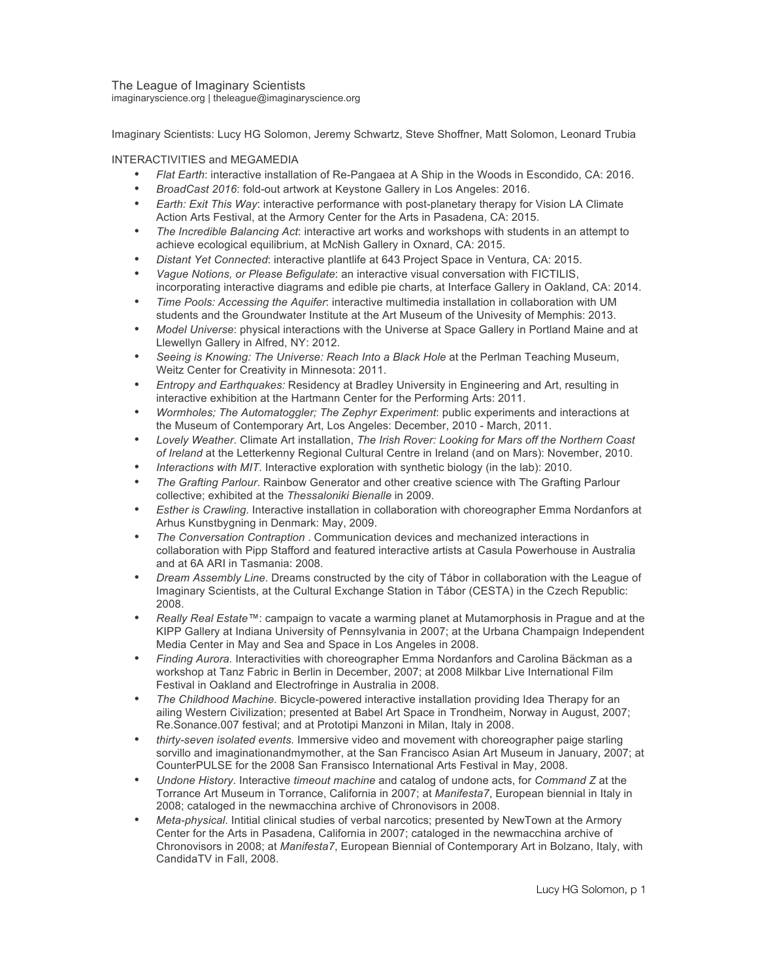The League of Imaginary Scientists imaginaryscience.org | theleague@imaginaryscience.org

Imaginary Scientists: Lucy HG Solomon, Jeremy Schwartz, Steve Shoffner, Matt Solomon, Leonard Trubia

## INTERACTIVITIES and MEGAMEDIA

- *Flat Earth*: interactive installation of Re-Pangaea at A Ship in the Woods in Escondido, CA: 2016.
- *BroadCast 2016*: fold-out artwork at Keystone Gallery in Los Angeles: 2016.
- *Earth: Exit This Way*: interactive performance with post-planetary therapy for Vision LA Climate Action Arts Festival, at the Armory Center for the Arts in Pasadena, CA: 2015.
- *The Incredible Balancing Act*: interactive art works and workshops with students in an attempt to achieve ecological equilibrium, at McNish Gallery in Oxnard, CA: 2015.
- *Distant Yet Connected*: interactive plantlife at 643 Project Space in Ventura, CA: 2015.
- *Vague Notions, or Please Befigulate*: an interactive visual conversation with FICTILIS, incorporating interactive diagrams and edible pie charts, at Interface Gallery in Oakland, CA: 2014.
- *Time Pools: Accessing the Aquifer*: interactive multimedia installation in collaboration with UM students and the Groundwater Institute at the Art Museum of the Univesity of Memphis: 2013.
- *Model Universe*: physical interactions with the Universe at Space Gallery in Portland Maine and at Llewellyn Gallery in Alfred, NY: 2012.
- *Seeing is Knowing: The Universe: Reach Into a Black Hole* at the Perlman Teaching Museum, Weitz Center for Creativity in Minnesota: 2011.
- *Entropy and Earthquakes:* Residency at Bradley University in Engineering and Art, resulting in interactive exhibition at the Hartmann Center for the Performing Arts: 2011.
- *Wormholes; The Automatoggler; The Zephyr Experiment*: public experiments and interactions at the Museum of Contemporary Art, Los Angeles: December, 2010 - March, 2011.
- *Lovely Weather*. Climate Art installation, *The Irish Rover: Looking for Mars off the Northern Coast of Ireland* at the Letterkenny Regional Cultural Centre in Ireland (and on Mars): November, 2010.
- *Interactions with MIT*. Interactive exploration with synthetic biology (in the lab): 2010.
- *The Grafting Parlour*. Rainbow Generator and other creative science with The Grafting Parlour collective; exhibited at the *Thessaloniki Bienalle* in 2009.
- *Esther is Crawling*. Interactive installation in collaboration with choreographer Emma Nordanfors at Arhus Kunstbygning in Denmark: May, 2009.
- *The Conversation Contraption* . Communication devices and mechanized interactions in collaboration with Pipp Stafford and featured interactive artists at Casula Powerhouse in Australia and at 6A ARI in Tasmania: 2008.
- *Dream Assembly Line*. Dreams constructed by the city of Tábor in collaboration with the League of Imaginary Scientists, at the Cultural Exchange Station in Tábor (CESTA) in the Czech Republic: 2008.
- *Really Real Estate™*: campaign to vacate a warming planet at Mutamorphosis in Prague and at the KIPP Gallery at Indiana University of Pennsylvania in 2007; at the Urbana Champaign Independent Media Center in May and Sea and Space in Los Angeles in 2008.
- *Finding Aurora.* Interactivities with choreographer Emma Nordanfors and Carolina Bäckman as a workshop at Tanz Fabric in Berlin in December, 2007; at 2008 Milkbar Live International Film Festival in Oakland and Electrofringe in Australia in 2008.
- *The Childhood Machine.* Bicycle-powered interactive installation providing Idea Therapy for an ailing Western Civilization; presented at Babel Art Space in Trondheim, Norway in August, 2007; Re.Sonance.007 festival; and at Prototipi Manzoni in Milan, Italy in 2008.
- *thirty-seven isolated events.* Immersive video and movement with choreographer paige starling sorvillo and imaginationandmymother, at the San Francisco Asian Art Museum in January, 2007; at CounterPULSE for the 2008 San Fransisco International Arts Festival in May, 2008.
- *Undone History*. Interactive *timeout machine* and catalog of undone acts, for *Command Z* at the Torrance Art Museum in Torrance, California in 2007; at *Manifesta7*, European biennial in Italy in 2008; cataloged in the newmacchina archive of Chronovisors in 2008.
- *Meta-physical*. Intitial clinical studies of verbal narcotics; presented by NewTown at the Armory Center for the Arts in Pasadena, California in 2007; cataloged in the newmacchina archive of Chronovisors in 2008; at *Manifesta7*, European Biennial of Contemporary Art in Bolzano, Italy, with CandidaTV in Fall, 2008.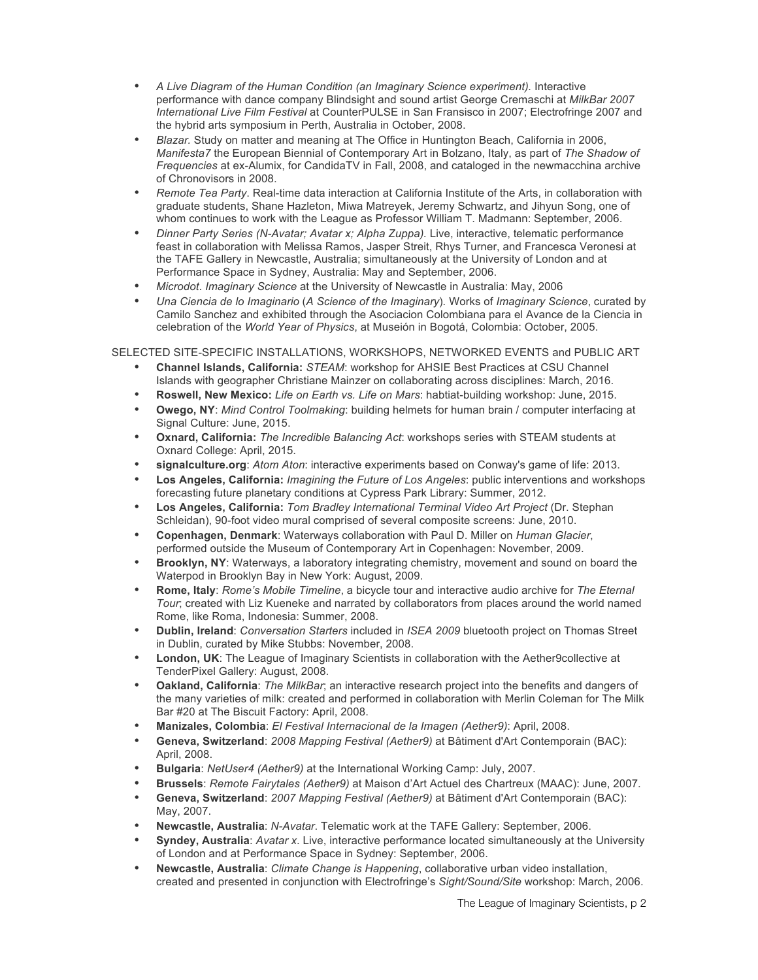- *A Live Diagram of the Human Condition (an Imaginary Science experiment).* Interactive performance with dance company Blindsight and sound artist George Cremaschi at *MilkBar 2007 International Live Film Festival* at CounterPULSE in San Fransisco in 2007; Electrofringe 2007 and the hybrid arts symposium in Perth, Australia in October, 2008.
- *Blazar.* Study on matter and meaning at The Office in Huntington Beach, California in 2006, *Manifesta7* the European Biennial of Contemporary Art in Bolzano, Italy, as part of *The Shadow of Frequencies* at ex-Alumix, for CandidaTV in Fall, 2008, and cataloged in the newmacchina archive of Chronovisors in 2008.
- *Remote Tea Party*. Real-time data interaction at California Institute of the Arts, in collaboration with graduate students, Shane Hazleton, Miwa Matreyek, Jeremy Schwartz, and Jihyun Song, one of whom continues to work with the League as Professor William T. Madmann: September, 2006.
- *Dinner Party Series (N-Avatar; Avatar x; Alpha Zuppa).* Live, interactive, telematic performance feast in collaboration with Melissa Ramos, Jasper Streit, Rhys Turner, and Francesca Veronesi at the TAFE Gallery in Newcastle, Australia; simultaneously at the University of London and at Performance Space in Sydney, Australia: May and September, 2006.
- *Microdot*. *Imaginary Science* at the University of Newcastle in Australia: May, 2006
- *Una Ciencia de lo Imaginario* (*A Science of the Imaginary*)*.* Works of *Imaginary Science*, curated by Camilo Sanchez and exhibited through the Asociacion Colombiana para el Avance de la Ciencia in celebration of the *World Year of Physics*, at Museión in Bogotá, Colombia: October, 2005.

SELECTED SITE-SPECIFIC INSTALLATIONS, WORKSHOPS, NETWORKED EVENTS and PUBLIC ART

- **Channel Islands, California:** *STEAM*: workshop for AHSIE Best Practices at CSU Channel Islands with geographer Christiane Mainzer on collaborating across disciplines: March, 2016.
- **Roswell, New Mexico:** *Life on Earth vs. Life on Mars*: habtiat-building workshop: June, 2015.
- **Owego, NY**: *Mind Control Toolmaking*: building helmets for human brain / computer interfacing at Signal Culture: June, 2015.
- **Oxnard, California:** *The Incredible Balancing Act*: workshops series with STEAM students at Oxnard College: April, 2015.
- **signalculture.org**: *Atom Aton*: interactive experiments based on Conway's game of life: 2013.
- **Los Angeles, California:** *Imagining the Future of Los Angeles*: public interventions and workshops forecasting future planetary conditions at Cypress Park Library: Summer, 2012.
- **Los Angeles, California:** *Tom Bradley International Terminal Video Art Project* (Dr. Stephan Schleidan), 90-foot video mural comprised of several composite screens: June, 2010.
- **Copenhagen, Denmark**: Waterways collaboration with Paul D. Miller on *Human Glacier*, performed outside the Museum of Contemporary Art in Copenhagen: November, 2009.
- **Brooklyn, NY**: Waterways, a laboratory integrating chemistry, movement and sound on board the Waterpod in Brooklyn Bay in New York: August, 2009.
- **Rome, Italy**: *Rome's Mobile Timeline*, a bicycle tour and interactive audio archive for *The Eternal Tour*; created with Liz Kueneke and narrated by collaborators from places around the world named Rome, like Roma, Indonesia: Summer, 2008.
- **Dublin, Ireland**: *Conversation Starters* included in *ISEA 2009* bluetooth project on Thomas Street in Dublin, curated by Mike Stubbs: November, 2008.
- **London, UK**: The League of Imaginary Scientists in collaboration with the Aether9collective at TenderPixel Gallery: August, 2008.
- **Oakland, California**: *The MilkBar*; an interactive research project into the benefits and dangers of the many varieties of milk: created and performed in collaboration with Merlin Coleman for The Milk Bar #20 at The Biscuit Factory: April, 2008.
- **Manizales, Colombia**: *El Festival Internacional de la Imagen (Aether9)*: April, 2008.
- **Geneva, Switzerland**: *2008 Mapping Festival (Aether9)* at Bâtiment d'Art Contemporain (BAC): April, 2008.
- **Bulgaria**: *NetUser4 (Aether9)* at the International Working Camp: July, 2007.
- **Brussels**: *Remote Fairytales (Aether9)* at Maison d'Art Actuel des Chartreux (MAAC): June, 2007.
- **Geneva, Switzerland**: *2007 Mapping Festival (Aether9)* at Bâtiment d'Art Contemporain (BAC): May, 2007.
- **Newcastle, Australia**: *N-Avatar*. Telematic work at the TAFE Gallery: September, 2006.
- **Syndey, Australia**: *Avatar x*. Live, interactive performance located simultaneously at the University of London and at Performance Space in Sydney: September, 2006.
- **Newcastle, Australia**: *Climate Change is Happening*, collaborative urban video installation, created and presented in conjunction with Electrofringe's *Sight/Sound/Site* workshop: March, 2006.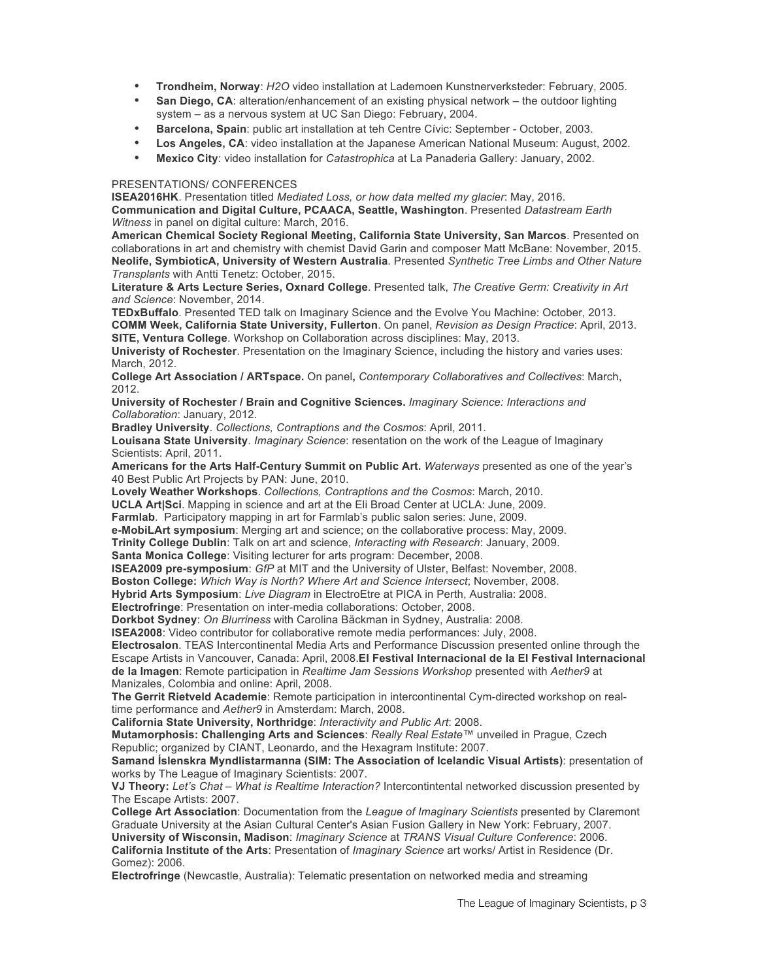- **Trondheim, Norway**: *H2O* video installation at Lademoen Kunstnerverksteder: February, 2005.
- **San Diego, CA**: alteration/enhancement of an existing physical network the outdoor lighting system – as a nervous system at UC San Diego: February, 2004.
- **Barcelona, Spain**: public art installation at teh Centre Cívic: September October, 2003.
- **Los Angeles, CA**: video installation at the Japanese American National Museum: August, 2002.
- **Mexico City**: video installation for *Catastrophica* at La Panaderia Gallery: January, 2002.

## PRESENTATIONS/ CONFERENCES

**ISEA2016HK**. Presentation titled *Mediated Loss, or how data melted my glacier*: May, 2016. **Communication and Digital Culture, PCAACA, Seattle, Washington**. Presented *Datastream Earth Witness* in panel on digital culture: March, 2016.

**American Chemical Society Regional Meeting, California State University, San Marcos**. Presented on collaborations in art and chemistry with chemist David Garin and composer Matt McBane: November, 2015. **Neolife, SymbioticA, University of Western Australia**. Presented *Synthetic Tree Limbs and Other Nature Transplants* with Antti Tenetz: October, 2015.

**Literature & Arts Lecture Series, Oxnard College**. Presented talk, *The Creative Germ: Creativity in Art and Science*: November, 2014.

**TEDxBuffalo**. Presented TED talk on Imaginary Science and the Evolve You Machine: October, 2013. **COMM Week, California State University, Fullerton**. On panel, *Revision as Design Practice*: April, 2013. **SITE, Ventura College**. Workshop on Collaboration across disciplines: May, 2013.

**Univeristy of Rochester**. Presentation on the Imaginary Science, including the history and varies uses: March, 2012.

**College Art Association / ARTspace.** On panel**,** *Contemporary Collaboratives and Collectives*: March, 2012.

**University of Rochester / Brain and Cognitive Sciences.** *Imaginary Science: Interactions and Collaboration*: January, 2012.

**Bradley University**. *Collections, Contraptions and the Cosmos*: April, 2011.

**Louisana State University**. *Imaginary Science*: resentation on the work of the League of Imaginary Scientists: April, 2011.

**Americans for the Arts Half-Century Summit on Public Art.** *Waterways* presented as one of the year's 40 Best Public Art Projects by PAN: June, 2010.

**Lovely Weather Workshops**. *Collections, Contraptions and the Cosmos*: March, 2010.

**UCLA Art|Sci**. Mapping in science and art at the Eli Broad Center at UCLA: June, 2009.

**Farmlab**. Participatory mapping in art for Farmlab's public salon series: June, 2009.

**e-MobiLArt symposium**: Merging art and science; on the collaborative process: May, 2009.

**Trinity College Dublin**: Talk on art and science, *Interacting with Research*: January, 2009.

**Santa Monica College**: Visiting lecturer for arts program: December, 2008.

**ISEA2009 pre-symposium**: *GfP* at MIT and the University of Ulster, Belfast: November, 2008.

**Boston College:** *Which Way is North? Where Art and Science Intersect*; November, 2008.

**Hybrid Arts Symposium**: *Live Diagram* in ElectroEtre at PICA in Perth, Australia: 2008.

**Electrofringe**: Presentation on inter-media collaborations: October, 2008.

**Dorkbot Sydney**: *On Blurriness* with Carolina Bäckman in Sydney, Australia: 2008.

**ISEA2008**: Video contributor for collaborative remote media performances: July, 2008.

**Electrosalon**. TEAS Intercontinental Media Arts and Performance Discussion presented online through the Escape Artists in Vancouver, Canada: April, 2008.**El Festival Internacional de la El Festival Internacional de la Imagen**: Remote participation in *Realtime Jam Sessions Workshop* presented with *Aether9* at Manizales, Colombia and online: April, 2008.

**The Gerrit Rietveld Academie**: Remote participation in intercontinental Cym-directed workshop on realtime performance and *Aether9* in Amsterdam: March, 2008.

**California State University, Northridge**: *Interactivity and Public Art*: 2008.

**Mutamorphosis: Challenging Arts and Sciences**: *Really Real Estate™* unveiled in Prague, Czech Republic; organized by CIANT, Leonardo, and the Hexagram Institute: 2007.

**Samand Íslenskra Myndlistarmanna (SIM: The Association of Icelandic Visual Artists)**: presentation of works by The League of Imaginary Scientists: 2007.

**VJ Theory:** *Let's Chat – What is Realtime Interaction?* Intercontintental networked discussion presented by The Escape Artists: 2007.

**College Art Association**: Documentation from the *League of Imaginary Scientists* presented by Claremont Graduate University at the Asian Cultural Center's Asian Fusion Gallery in New York: February, 2007. **University of Wisconsin, Madison**: *Imaginary Science* at *TRANS Visual Culture Conference*: 2006.

**California Institute of the Arts**: Presentation of *Imaginary Science* art works/ Artist in Residence (Dr. Gomez): 2006.

**Electrofringe** (Newcastle, Australia): Telematic presentation on networked media and streaming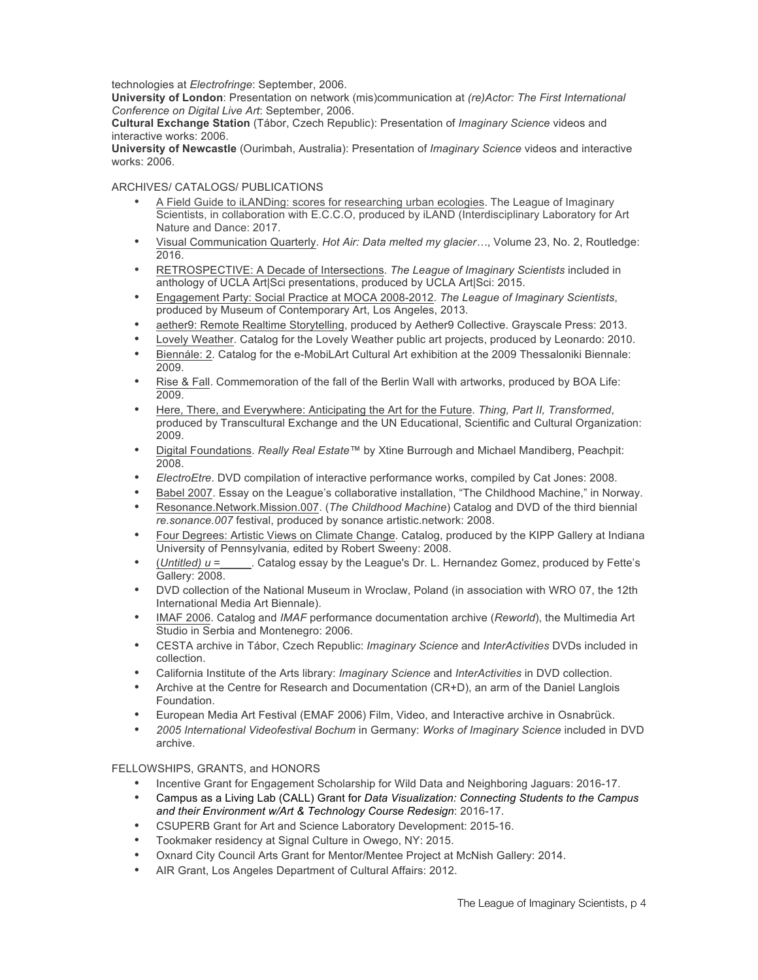technologies at *Electrofringe*: September, 2006.

**University of London**: Presentation on network (mis)communication at *(re)Actor: The First International Conference on Digital Live Art*: September, 2006.

**Cultural Exchange Station** (Tábor, Czech Republic): Presentation of *Imaginary Science* videos and interactive works: 2006.

**University of Newcastle** (Ourimbah, Australia): Presentation of *Imaginary Science* videos and interactive works: 2006.

## ARCHIVES/ CATALOGS/ PUBLICATIONS

- A Field Guide to iLANDing: scores for researching urban ecologies. The League of Imaginary Scientists, in collaboration with E.C.C.O, produced by iLAND (Interdisciplinary Laboratory for Art Nature and Dance: 2017.
- Visual Communication Quarterly. *Hot Air: Data melted my glacier…*, Volume 23, No. 2, Routledge: 2016.
- RETROSPECTIVE: A Decade of Intersections. *The League of Imaginary Scientists* included in anthology of UCLA Art|Sci presentations, produced by UCLA Art|Sci: 2015.
- Engagement Party: Social Practice at MOCA 2008-2012. *The League of Imaginary Scientists*, produced by Museum of Contemporary Art, Los Angeles, 2013.
- aether9: Remote Realtime Storytelling, produced by Aether9 Collective. Grayscale Press: 2013.
- Lovely Weather. Catalog for the Lovely Weather public art projects, produced by Leonardo: 2010.
- Biennále: 2. Catalog for the e-MobiLArt Cultural Art exhibition at the 2009 Thessaloniki Biennale: 2009.
- Rise & Fall. Commemoration of the fall of the Berlin Wall with artworks, produced by BOA Life: 2009.
- Here, There, and Everywhere: Anticipating the Art for the Future. *Thing, Part II, Transformed*, produced by Transcultural Exchange and the UN Educational, Scientific and Cultural Organization: 2009.
- Digital Foundations. *Really Real Estate™* by Xtine Burrough and Michael Mandiberg, Peachpit: 2008.
- *ElectroEtre*. DVD compilation of interactive performance works, compiled by Cat Jones: 2008.
- Babel 2007. Essay on the League's collaborative installation, "The Childhood Machine," in Norway.
- Resonance.Network.Mission.007. (*The Childhood Machine*) Catalog and DVD of the third biennial *re.sonance.007* festival, produced by sonance artistic.network: 2008.
- Four Degrees: Artistic Views on Climate Change. Catalog, produced by the KIPP Gallery at Indiana University of Pennsylvania*,* edited by Robert Sweeny: 2008.
- (*Untitled) u* =\_\_\_\_\_. Catalog essay by the League's Dr. L. Hernandez Gomez, produced by Fette's Gallery: 2008.
- DVD collection of the National Museum in Wroclaw, Poland (in association with WRO 07, the 12th International Media Art Biennale).
- IMAF 2006. Catalog and *IMAF* performance documentation archive (*Reworld*), the Multimedia Art Studio in Serbia and Montenegro: 2006.
- CESTA archive in Tábor, Czech Republic: *Imaginary Science* and *InterActivities* DVDs included in collection.
- California Institute of the Arts library: *Imaginary Science* and *InterActivities* in DVD collection.
- Archive at the Centre for Research and Documentation (CR+D), an arm of the Daniel Langlois Foundation.
- European Media Art Festival (EMAF 2006) Film, Video, and Interactive archive in Osnabrück.
- *2005 International Videofestival Bochum* in Germany: *Works of Imaginary Science* included in DVD archive.

## FELLOWSHIPS, GRANTS, and HONORS

- Incentive Grant for Engagement Scholarship for Wild Data and Neighboring Jaguars: 2016-17.
- Campus as a Living Lab (CALL) Grant for *Data Visualization: Connecting Students to the Campus and their Environment w/Art & Technology Course Redesign*: 2016-17.
- CSUPERB Grant for Art and Science Laboratory Development: 2015-16.
- Tookmaker residency at Signal Culture in Owego, NY: 2015.
- Oxnard City Council Arts Grant for Mentor/Mentee Project at McNish Gallery: 2014.
- AIR Grant, Los Angeles Department of Cultural Affairs: 2012.